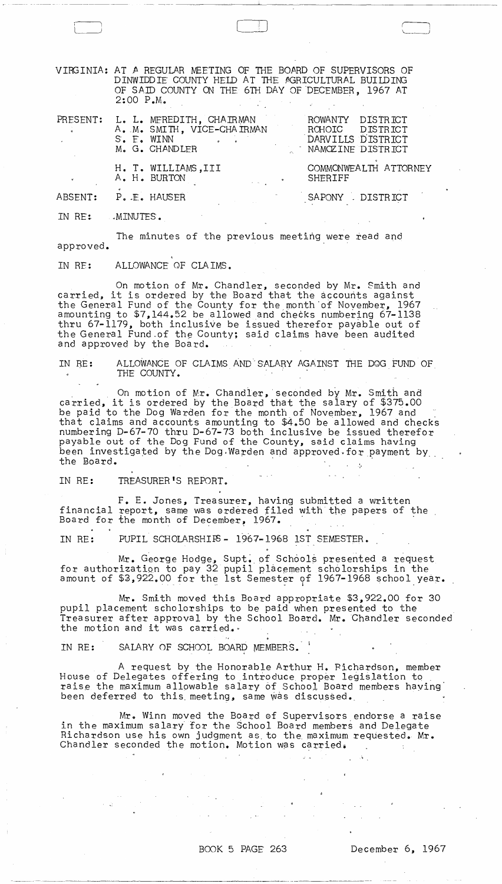VIRGINIA: AT A REGULAR MEETING OF THE BOARD OF SUPERVISORS OF DINWIDDIE COUNTY HELD AT THE AGRICULTURAL BUILDING OF SAID COUNTY ON THE 6TH DAY OF DECEMBER, 1967 AT 2:00 P.M. .

 $\begin{pmatrix} 1 & 1 \\ 1 & 1 \end{pmatrix}$  is a set of  $\begin{pmatrix} 1 & 1 \\ 1 & 1 \end{pmatrix}$  is a set of  $\begin{pmatrix} 1 & 1 \\ 1 & 1 \end{pmatrix}$  $\Box$ 

--- --- ----~----~---------------~.

| $\mathbf{a} = \mathbf{a}$ | S. E. WINN | PRESENT: L. L. MEREDITH, CHAIRMAN<br>A. M. SMITH, VICE-CHAIRMAN<br>M. G. CHANDLER | ROWANTY DISTRICT<br>ROHOIC DISTRICT<br>DARVILLS DISTRICT<br>NAMOZINE DISTRICT |
|---------------------------|------------|-----------------------------------------------------------------------------------|-------------------------------------------------------------------------------|
|                           |            | H. T. WILLIAMS, III<br>A. H. BURTON                                               | COMMONWEALTH ATTORNEY<br>SHERIFF                                              |
| ABSENT:                   |            | P. E. HAUSER                                                                      | SAPONY DISTRICT                                                               |

IN RE: MINUTES.

The minutes of the previous meeting were read and approved.

IN RE: ALLOWANCE OF CLAIMS.

On motion of Mr. Chandler, seconded by Mr. Smith and carried, it is ordered by the Board that the accounts against the General Fund of the County for the month of November, 1967 amounting to \$7,144.52 be allowed and checks numbering 67-1138 thru 67-1179, both inclusive be issued therefor payable out of the General Fund-of the County; said claims have been audited and approved by the Board.

IN RE: ALLOWANCE OF CLAIMS AND SALARY AGAINST THE DOG FUND OF THE COUNTY.

On motion of Mr. Chandler, seconded by Mr. Smith and carried, it is ordered by the Board that the salary of \$375.00 be paid to the Dog Warden for the month of November, 1967 and that claims and accounts amounting to \$4&50 be allowed and checks numbering D-67-70 thru D-67-73 both inclusive be issued therefor payable out of the Dog Fund of the County, said claims having been investigated by the Dog.Warden and approved.for payment by "

IN RE: TREASURER'S REPORT.

F. E. Jones, Treasurer, having submitted a written financial report, same was ordered filed with the papers of the Board for the month of December, 1967.

IN RE: PUPIL SCHOLARSHIFS - 1967-1968 1ST SEMESTER.

Mr. George Hodge, Supt. of Schools presented a request for authorization to pay 32 pupil placement scholorships in the IN RE: PUPIL SCHOLARSHIFS - 1967-1968 IST SEMESTER.<br>
Mr. George Hodge, Supt. of Schools presented a request<br>
for authorization to pay 32 pupil placement scholorships in the<br>
amount of \$3,922.00 for the 1st Semester of 1967

Mr. Smith moved this Board appropriate \$3,922.00 for 30 pupil placement scholorships to be paid when presented to the Treasurer after approval by the School Board. Mr. Chandler seconded

IN RE: SALARY OF SCHOOL BOARD MEMBERS.

A request by the Honorable Arthur H. Bichardson, member House of Delegates offering to introduce proper legislation to raise the maximum allowable salary of School Board members having been deferred to this meeting, same was discussed.

Mr. Winn moved the Board of Supervisors endorse a raise in the maximum salary for the School Board members and Delegate Richardson use his own judgment as, to the, maximum requested. Mr. Chandler seconded the motion. Motion was carried.

--, ,-~-- -----------------.-~----,------,-------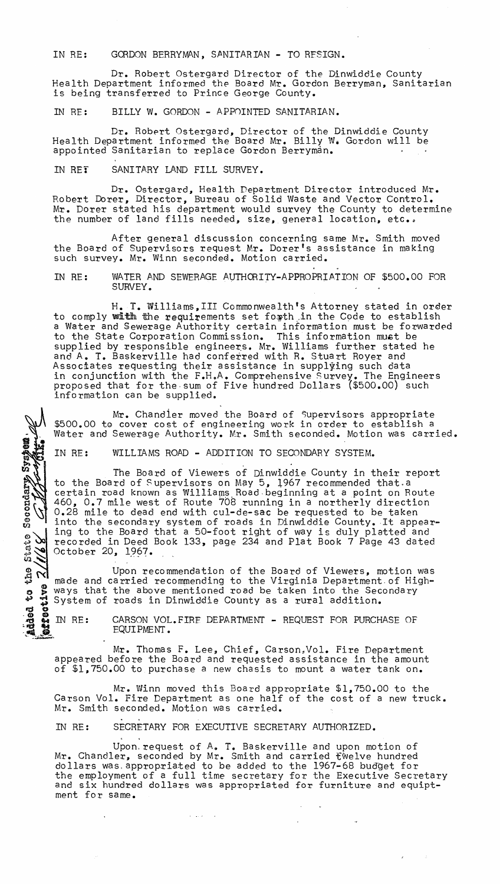IN RE: GORDON BERRYMAN, SANITARIAN - TO RESIGN.

Dr. Robert Ostergard Director of the Dinwiddie County Health Department informed the Board Mr. Gordon Berryman, Sanitarian is being transferred to Prince George County.

IN RE: BILLY W. GORDON - APPOINTED SANITARIAN.

Dr. Robert Ostergard, Director of the Dinwiddie County<br>Health Department informed the Board Mr. Billy W. Gordon will be appointed Sanitarian to replace Gordon Berryman.

IN RET SANITARY LAND FILL SURVEY.

Secondary System

 $\boldsymbol{\alpha}$ 1116

M

Dr. Ostergard, Health Department Director introduced Mr. Robert Dorer, Director, Bureau of Solid Waste and Vector Control. Mr. Dorer stated his department would survey the County to determine the number of land fills needed, size, general location, etc..

After general discussion concerning same Mr. Smith moved the Board of Supervisors request Mr. Dorer's assistance in making such survey. Mr. Winn seconded. Motion carried.

IN RE: WATER AND SEWERAGE AUTHORITY-APPROPRIATION OF \$500.00 FOR SURVEY.

H. T. Williams, III Commonwealth's Attorney stated in order to comply with the requirements set forth in the Code to establish a Water and Sewerage Authority certain information must be forwarded to the State Corporation Commission. This information must be supplied by responsible engineers. Mr. Williams further stated he and A. T. Baskerville had conferred with R. Stuart Royer and Associates requesting their assistance in supplying such data in conjunction with the F.H.A. Comprehensive Survey. The Engineers proposed that for the· sum of Five hundred Dollars (\$500.00) such information can be supplied.

Mr. Chandier moved the Board of Supervisors appropriate \$500.00 to cover cost of engineering work in order to establish a Water and Sewerage Authority. Mr. Smith seconded. Motion was carried.

IN RE: WILLIAMS ROAD - ADDITION TO SECONDARY SYSTEM.

The Board of Viewers of Dinwiddie County in their report to the Board of Supervisors on May 5, 1967 recommended that.a certain road known as Williams Road beginning at a point on Route 460, 0.7 mile west of Route 708 running in a northerly direction 0.28 mile to dead end with cul-de-sac be requested to be taken into the secondary system of roads in Dinwiddie County. It appearing to the Board that a 50-foot right of way is duly platted and recorded in Deed Book 133, page 234 and Plat Book 7 Page 43 dated October 20, 1967.

Upon recommendation of the Board of Viewers, motion was made and carried recommending to the Virginia Department. of Highg S ways that the above mentioned road be taken into the Secondary and the Board that a 50-foot right of way is duly plane of recorded in Deed Book 133, page 234 and Plat Book 7 Page<br>
October 20, 1967.<br>
Upon recommendation of the Board of Viewers, means ways that the above mentioned road **192200117** 

IN RE: CARSON VOL. FIRE DEPARTMENT - REQUEST FOR PURCHASE OF EQUIPMENT.

Mr. Thomas F. Lee, Chief, Carson.Vol. Fire Department appeared before the Board and requested assistance in the amount of \$1,750.00 to purchase a new chasis to mount a water tank on.

Mr. Winn moved this Board appropriate \$1,750.00 to the Carson Vol. Fire Department as one half of the cost of a new truck. Mr. Smith seconded. Motion was carried.

IN RE: SECRETARY FOR EXECUTIVE SECRETARY AUTHORIZED.

 $\hat{\mathcal{A}}$  , where  $\hat{\mathcal{A}}$  is a  $\hat{\mathcal{A}}$ 

Upon request of A. T. Baskerville and upon motion of Mr. Chandler, seconded by Mr. Smith and carried fwelve hundred dollars was appropriated to be added to the 1967-68 budget for the employment of a full time secretary for the Executive Secretary and six hundred dollars was appropriated for furniture and equiptand six hundred dollars was appropriated for furniture and equipt-<br>ment for same.

 $\mathcal{A}(\mathcal{A})$  and  $\mathcal{A}(\mathcal{A})$ 

 $\mathcal{L} = \mathcal{L} \mathcal{L}$  , where  $\mathcal{L} = \mathcal{L} \mathcal{L}$ 

 $\mathcal{L}^{(1)}$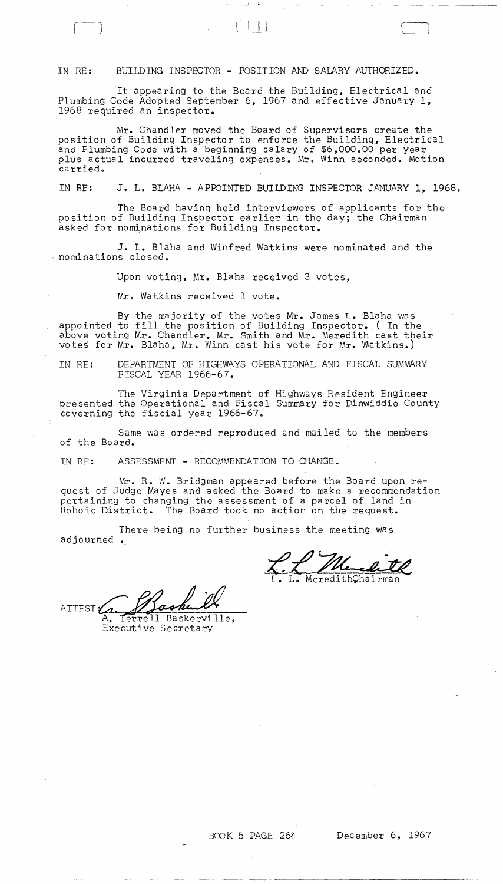IN RE: BUILDING INSPECTOR - POSITION AND SALARY AUTHORIZED.

It appearing to the Board the Building, Electrical and Plumbing Code Adopted September 6, 1967 and effective January 1, 1968 required an inspector.

Mr. Chandler moved the Board of Supervisors create the position of Building Inspector to enforce the Building, Electrical and Plumbing Code with a beginning salary of \$6,000.00 per year plus actual incurred traveling expenses. Mr. Winn seconded. Motion carried.

IN RE: J. L. BLAHA - APPOINTED BUILDING INSPECTOR JANUARY 1, 1968.

The Board having held interviewers of applicants for the position of Building Inspector earlier in the day; the Chairman asked for nominations for Building Inspector.

J. L. Blaha and Winfred Watkins were nominated and the nominations closed.

Upon voting, Mr. Blaha received 3 votes,

Mr. Watkins received 1 vote.

By the majority of the votes Mr. James L. Blaha was appointed to fill the position of Building Inspector. ( In the above voting Mr. Chandler, Mr. Smith and Mr. Meredith cast their votes for Mr. Blaha, Mr. Winn cast his vote for Mr. Watkins.)

IN RE: DEPARTMENT OF HIGHWAYS OPERATIONAL AND FISCAL SUMMARY FISCAL YEAR 1966-67.

The Virginia Department of Highways Resident Engineer presented the Operational and Fiscal Summary for Dinwiddie County coverning the fiscial year 1966-67.

Same was ordered reproduced and mailed to the members of the Board.

IN RE: ASSESSMENT - RECOMMENDATION TO CHANGE.

Mr. R. W. Bridgman appeared before the Board upon request of Judge Mayes and asked the Board to make a recommendation pertaining to changing the assessment of a parcel of land in<br>Rohoic District. The Board took no action on the request. The Board took no action on the request.

There being no further business the meeting was adjourned •

L. MeredithChairman

ATTEST: Terrell Baskerville, Executive Secretary

 $\sim 10^{-10}$  km  $^{-1}$ 

 $\label{eq:2.1} \begin{split} \mathcal{L}_{\text{max}}(\mathbf{r}) & = \mathcal{L}_{\text{max}}(\mathbf{r}) \mathcal{L}_{\text{max}}(\mathbf{r}) \,, \end{split}$ 

 $\mathcal{L}^{\pm}$